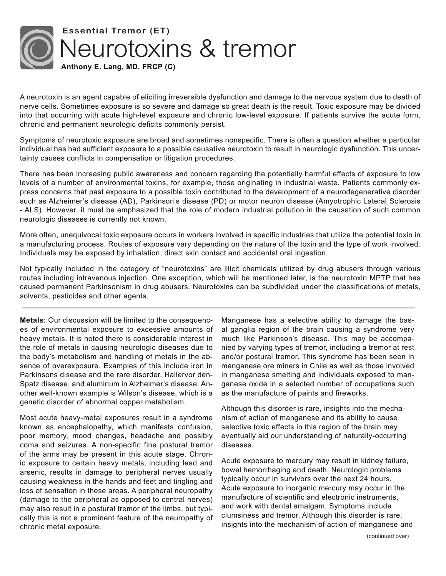

## **Essential Tremor (ET)**  Neurotoxins & tremor

**Anthony E. Lang, MD, FRCP (C)**

A neurotoxin is an agent capable of eliciting irreversible dysfunction and damage to the nervous system due to death of nerve cells. Sometimes exposure is so severe and damage so great death is the result. Toxic exposure may be divided into that occurring with acute high-level exposure and chronic low-level exposure. If patients survive the acute form, chronic and permanent neurologic deficits commonly persist.

Symptoms of neurotoxic exposure are broad and sometimes nonspecific. There is often a question whether a particular individual has had sufficient exposure to a possible causative neurotoxin to result in neurologic dysfunction. This uncertainty causes conflicts in compensation or litigation procedures.

There has been increasing public awareness and concern regarding the potentially harmful effects of exposure to low levels of a number of environmental toxins, for example, those originating in industrial waste. Patients commonly express concerns that past exposure to a possible toxin contributed to the development of a neurodegenerative disorder such as Alzheimer's disease (AD), Parkinson's disease (PD) or motor neuron disease (Amyotrophic Lateral Sclerosis - ALS). However, it must be emphasized that the role of modern industrial pollution in the causation of such common neurologic diseases is currently not known.

More often, unequivocal toxic exposure occurs in workers involved in specific industries that utilize the potential toxin in a manufacturing process. Routes of exposure vary depending on the nature of the toxin and the type of work involved. Individuals may be exposed by inhalation, direct skin contact and accidental oral ingestion.

Not typically included in the category of "neurotoxins" are illicit chemicals utilized by drug abusers through various routes including intravenous injection. One exception, which will be mentioned later, is the neurotoxin MPTP that has caused permanent Parkinsonism in drug abusers. Neurotoxins can be subdivided under the classifications of metals, solvents, pesticides and other agents.

**Metals:** Our discussion will be limited to the consequences of environmental exposure to excessive amounts of heavy metals. It is noted there is considerable interest in the role of metals in causing neurologic diseases due to the body's metabolism and handling of metals in the absence of overexposure. Examples of this include iron in Parkinsons disease and the rare disorder, Hallervor den-Spatz disease, and aluminum in Alzheimer's disease. Another well-known example is Wilson's disease, which is a genetic disorder of abnormal copper metabolism.

Most acute heavy-metal exposures result in a syndrome known as encephalopathy, which manifests confusion, poor memory, mood changes, headache and possibly coma and seizures. A non-specific fine postural tremor of the arms may be present in this acute stage. Chronic exposure to certain heavy metals, including lead and arsenic, results in damage to peripheral nerves usually causing weakness in the hands and feet and tingling and loss of sensation in these areas. A peripheral neuropathy (damage to the peripheral as opposed to central nerves) may also result in a postural tremor of the limbs, but typically this is not a prominent feature of the neuropathy of chronic metal exposure.

Manganese has a selective ability to damage the basal ganglia region of the brain causing a syndrome very much like Parkinson's disease. This may be accompanied by varying types of tremor, including a tremor at rest and/or postural tremor. This syndrome has been seen in manganese ore miners in Chile as well as those involved in manganese smelting and individuals exposed to manganese oxide in a selected number of occupations such as the manufacture of paints and fireworks.

Although this disorder is rare, insights into the mechanism of action of manganese and its ability to cause selective toxic effects in this region of the brain may eventually aid our understanding of naturally-occurring diseases.

Acute exposure to mercury may result in kidney failure, bowel hemorrhaging and death. Neurologic problems typically occur in survivors over the next 24 hours. Acute exposure to inorganic mercury may occur in the manufacture of scientific and electronic instruments, and work with dental amalgam. Symptoms include clumsiness and tremor. Although this disorder is rare, insights into the mechanism of action of manganese and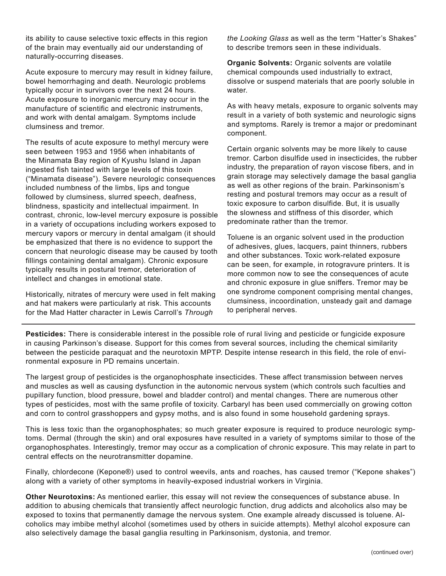its ability to cause selective toxic effects in this region of the brain may eventually aid our understanding of naturally-occurring diseases.

Acute exposure to mercury may result in kidney failure, bowel hemorrhaging and death. Neurologic problems typically occur in survivors over the next 24 hours. Acute exposure to inorganic mercury may occur in the manufacture of scientific and electronic instruments, and work with dental amalgam. Symptoms include clumsiness and tremor.

The results of acute exposure to methyl mercury were seen between 1953 and 1956 when inhabitants of the Minamata Bay region of Kyushu Island in Japan ingested fish tainted with large levels of this toxin ("Minamata disease"). Severe neurologic consequences included numbness of the limbs, lips and tongue followed by clumsiness, slurred speech, deafness, blindness, spasticity and intellectual impairment. In contrast, chronic, low-level mercury exposure is possible in a variety of occupations including workers exposed to mercury vapors or mercury in dental amalgam (it should be emphasized that there is no evidence to support the concern that neurologic disease may be caused by tooth fillings containing dental amalgam). Chronic exposure typically results in postural tremor, deterioration of intellect and changes in emotional state.

Historically, nitrates of mercury were used in felt making and hat makers were particularly at risk. This accounts for the Mad Hatter character in Lewis Carroll's *Through* 

*the Looking Glass* as well as the term "Hatter's Shakes" to describe tremors seen in these individuals.

**Organic Solvents:** Organic solvents are volatile chemical compounds used industrially to extract, dissolve or suspend materials that are poorly soluble in water.

As with heavy metals, exposure to organic solvents may result in a variety of both systemic and neurologic signs and symptoms. Rarely is tremor a major or predominant component.

Certain organic solvents may be more likely to cause tremor. Carbon disulfide used in insecticides, the rubber industry, the preparation of rayon viscose fibers, and in grain storage may selectively damage the basal ganglia as well as other regions of the brain. Parkinsonism's resting and postural tremors may occur as a result of toxic exposure to carbon disulfide. But, it is usually the slowness and stiffness of this disorder, which predominate rather than the tremor.

Toluene is an organic solvent used in the production of adhesives, glues, lacquers, paint thinners, rubbers and other substances. Toxic work-related exposure can be seen, for example, in rotogravure printers. It is more common now to see the consequences of acute and chronic exposure in glue sniffers. Tremor may be one syndrome component comprising mental changes, clumsiness, incoordination, unsteady gait and damage to peripheral nerves.

**Pesticides:** There is considerable interest in the possible role of rural living and pesticide or fungicide exposure in causing Parkinson's disease. Support for this comes from several sources, including the chemical similarity between the pesticide paraquat and the neurotoxin MPTP. Despite intense research in this field, the role of environmental exposure in PD remains uncertain.

The largest group of pesticides is the organophosphate insecticides. These affect transmission between nerves and muscles as well as causing dysfunction in the autonomic nervous system (which controls such faculties and pupillary function, blood pressure, bowel and bladder control) and mental changes. There are numerous other types of pesticides, most with the same profile of toxicity. Carbaryl has been used commercially on growing cotton and corn to control grasshoppers and gypsy moths, and is also found in some household gardening sprays.

This is less toxic than the organophosphates; so much greater exposure is required to produce neurologic symptoms. Dermal (through the skin) and oral exposures have resulted in a variety of symptoms similar to those of the organophosphates. Interestingly, tremor may occur as a complication of chronic exposure. This may relate in part to central effects on the neurotransmitter dopamine.

Finally, chlordecone (Kepone®) used to control weevils, ants and roaches, has caused tremor ("Kepone shakes") along with a variety of other symptoms in heavily-exposed industrial workers in Virginia.

**Other Neurotoxins:** As mentioned earlier, this essay will not review the consequences of substance abuse. In addition to abusing chemicals that transiently affect neurologic function, drug addicts and alcoholics also may be exposed to toxins that permanently damage the nervous system. One example already discussed is toluene. Alcoholics may imbibe methyl alcohol (sometimes used by others in suicide attempts). Methyl alcohol exposure can also selectively damage the basal ganglia resulting in Parkinsonism, dystonia, and tremor.